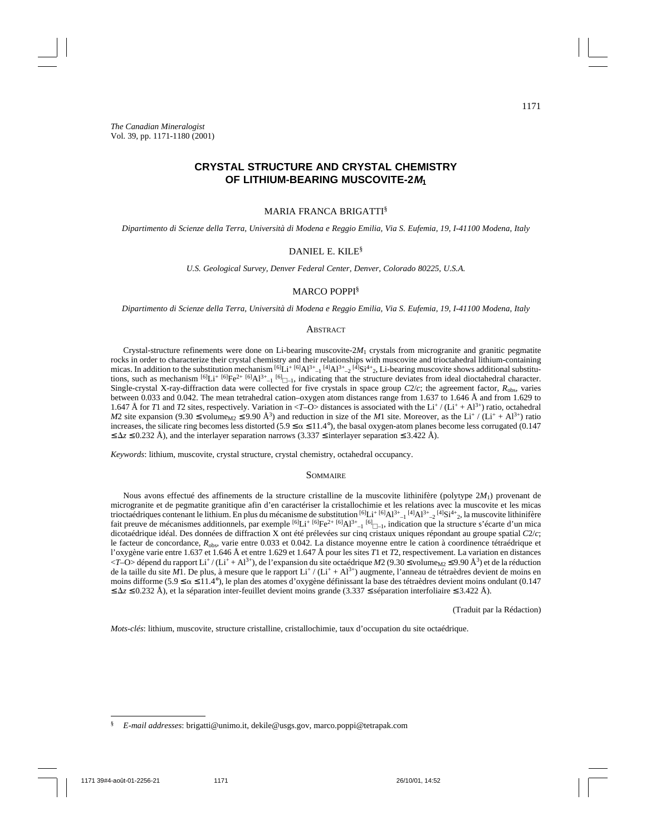## **CRYSTAL STRUCTURE AND CRYSTAL CHEMISTRY OF LITHIUM-BEARING MUSCOVITE-2M<sup>1</sup>**

## MARIA FRANCA BRIGATTI§

*Dipartimento di Scienze della Terra, Università di Modena e Reggio Emilia, Via S. Eufemia, 19, I-41100 Modena, Italy*

## DANIEL E. KILE§

*U.S. Geological Survey, Denver Federal Center, Denver, Colorado 80225, U.S.A.*

## MARCO POPPI<sup>§</sup>

*Dipartimento di Scienze della Terra, Università di Modena e Reggio Emilia, Via S. Eufemia, 19, I-41100 Modena, Italy*

#### **ABSTRACT**

Crystal-structure refinements were done on Li-bearing muscovite-2*M*1 crystals from microgranite and granitic pegmatite rocks in order to characterize their crystal chemistry and their relationships with muscovite and trioctahedral lithium-containing micas. In addition to the substitution mechanism  ${}^{[6]}L_1{}^{+[6]}Al^{3+}-1{}^{[4]}Al^{3+}-2{}^{[4]}Si^{4+}$ , Li-bearing muscovite shows additional substitutions, such as mechanism  ${}^{[6]}Li+ {}^{[6]}Fe^{2+ [6]}Al^{3+}{}_{-1} {}^{[6]}_{\square-1}$ , indicating that the structure deviates from ideal dioctahedral character. Single-crystal X-ray-diffraction data were collected for five crystals in space group *C*2/*c*; the agreement factor, *R*obs, varies between 0.033 and 0.042. The mean tetrahedral cation–oxygen atom distances range from 1.637 to 1.646 Å and from 1.629 to 1.647 Å for *T*1 and *T2* sites, respectively. Variation in  $\langle T - Q \rangle$  distances is associated with the Li<sup>+</sup> / (Li<sup>+</sup> + Al<sup>3+</sup>) ratio, octahedral *M*2 site expansion (9.30 ≤ volume<sub>M2</sub> ≤ 9.90 Å<sup>3</sup>) and reduction in size of the *M*1 site. Moreover, as the Li<sup>+</sup> / (Li<sup>+</sup> + Al<sup>3+</sup>) ratio increases, the silicate ring becomes less distorted (5.9  $\leq \alpha \leq 11.4^{\circ}$ ), the basal oxygen-atom planes become less corrugated (0.147  $\leq \Delta z \leq 0.232$  Å), and the interlayer separation narrows (3.337  $\leq$  interlayer separation  $\leq 3.422$  Å).

*Keywords*: lithium, muscovite, crystal structure, crystal chemistry, octahedral occupancy.

#### **SOMMAIRE**

Nous avons effectué des affinements de la structure cristalline de la muscovite lithinifère (polytype 2*M*1) provenant de microgranite et de pegmatite granitique afin d'en caractériser la cristallochimie et les relations avec la muscovite et les micas trioctaédriques contenant le lithium. En plus du mécanisme de substitution <sup>[6]</sup>Li<sup>+ [6]</sup>Al<sup>3+</sup><sub>–1</sub> [4]Al<sup>3+</sup><sub>–2</sub> [4]Si<sup>4+</sup><sub>2</sub>, la muscovite lithinifère fait preuve de mécanismes additionnels, par exemple  $^{[6]}Li^{+ [6]}Fe^{2+ [6]}Al^{3+}l_{-1}^{[6]}C_{l-1}$ , indication que la structure s'écarte d'un mica dicotaédrique idéal. Des données de diffraction X ont été prélevées sur cinq cristaux uniques répondant au groupe spatial *C*2/*c*; le facteur de concordance, *R*obs, varie entre 0.033 et 0.042. La distance moyenne entre le cation à coordinence tétraédrique et l'oxygène varie entre 1.637 et 1.646 Å et entre 1.629 et 1.647 Å pour les sites *T*1 et *T*2, respectivement. La variation en distances <*T*–O> dépend du rapport Li+ / (Li+ + Al3+), de l'expansion du site octaédrique *M*2 (9.30 ≤ volumeM2 ≤ 9.90 Å3) et de la réduction de la taille du site *M*1. De plus, à mesure que le rapport Li<sup>+</sup> / (Li<sup>+</sup> + Al<sup>3+</sup>) augmente, l'anneau de tétraèdres devient de moins en moins difforme (5.9  $\le \alpha \le 11.4^{\circ}$ ), le plan des atomes d'oxygène définissant la base des tétraèdres devient moins ondulant (0.147 ≤  $\Delta z \le 0.232$  Å), et la séparation inter-feuillet devient moins grande (3.337 ≤ séparation interfoliaire ≤ 3.422 Å).

(Traduit par la Rédaction)

*Mots-clés*: lithium, muscovite, structure cristalline, cristallochimie, taux d'occupation du site octaédrique.

<sup>§</sup> *E-mail addresses*: brigatti@unimo.it, dekile@usgs.gov, marco.poppi@tetrapak.com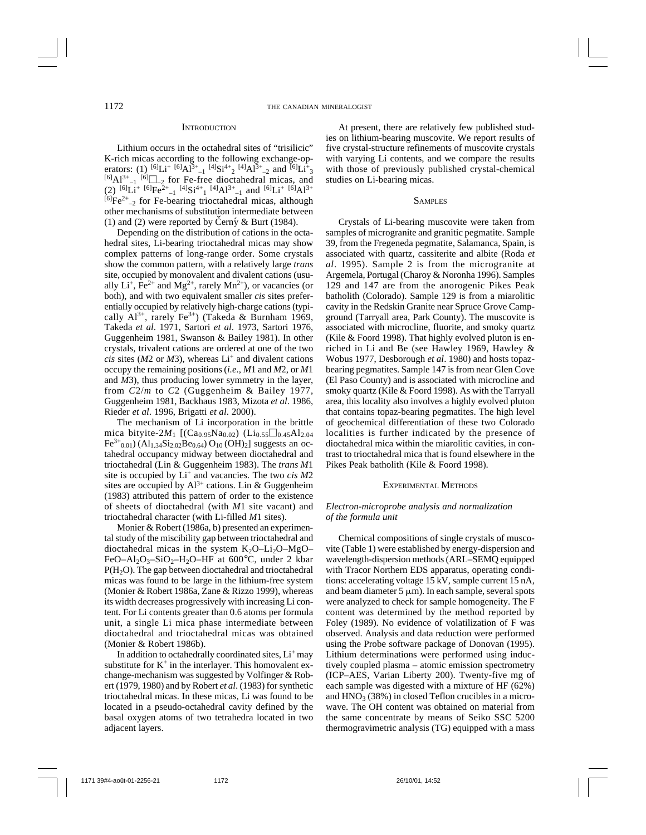## **INTRODUCTION**

Lithium occurs in the octahedral sites of "trisilicic" K-rich micas according to the following exchange-operators: (1)  $^{[6]}Li^+$   $^{[6]}Al^3$ <sup>+</sup><sub>-1</sub>  $^{[4]}Si^{4+}$ <sub>2</sub>  $^{[4]}Al^3$ <sup>+</sup><sub>-2</sub> and  $^{[6]}Li^4$ <sub>3</sub>  $[6]$ Al<sup>3+</sup><sub>-1</sub>  $[6]$ <sub>2</sub> for Fe-free dioctahedral micas, and (2)  $^{[6]}Li^{+}$   $^{[6]}Fe^{2+}$ <sub>-1</sub> $^{[4]}Si^{4+}$   $^{[4]}Al^{3+}$ <sub>-1</sub> and  $^{[6]}Li^{+}$   $^{[6]}Al^{3+}$  $^{[6]}Fe^{2+}$ <sub>-2</sub> for Fe-bearing trioctahedral micas, although other mechanisms of substitution intermediate between (1) and (2) were reported by Cerny & Burt (1984).

Depending on the distribution of cations in the octahedral sites, Li-bearing trioctahedral micas may show complex patterns of long-range order. Some crystals show the common pattern, with a relatively large *trans* site, occupied by monovalent and divalent cations (usually  $Li^+$ , Fe<sup>2+</sup> and Mg<sup>2+</sup>, rarely Mn<sup>2+</sup>), or vacancies (or both), and with two equivalent smaller *cis* sites preferentially occupied by relatively high-charge cations (typically  $Al^{3+}$ , rarely  $Fe^{3+}$ ) (Takeda & Burnham 1969, Takeda *et al*. 1971, Sartori *et al*. 1973, Sartori 1976, Guggenheim 1981, Swanson & Bailey 1981). In other crystals, trivalent cations are ordered at one of the two  $cis$  sites ( $M2$  or  $M3$ ), whereas  $Li<sup>+</sup>$  and divalent cations occupy the remaining positions (*i.e.*, *M*1 and *M*2, or *M*1 and *M*3), thus producing lower symmetry in the layer, from *C*2/*m* to *C*2 (Guggenheim & Bailey 1977, Guggenheim 1981, Backhaus 1983, Mizota *et al*. 1986, Rieder *et al*. 1996, Brigatti *et al*. 2000).

The mechanism of Li incorporation in the brittle mica bityite-2 $M_1$  [(Ca<sub>0.95</sub>Na<sub>0.02</sub>) (Li<sub>0.55</sub> $\Box$ <sub>0.45</sub>Al<sub>2.04</sub>  $Fe^{3+}_{0.01}$ ) (Al<sub>1.34</sub>Si<sub>2.02</sub>Be<sub>0.64</sub>) O<sub>10</sub> (OH)<sub>2</sub>] suggests an octahedral occupancy midway between dioctahedral and trioctahedral (Lin & Guggenheim 1983). The *trans M*1 site is occupied by Li+ and vacancies. The two *cis M*2 sites are occupied by  $Al^{3+}$  cations. Lin & Guggenheim (1983) attributed this pattern of order to the existence of sheets of dioctahedral (with *M*1 site vacant) and trioctahedral character (with Li-filled *M*1 sites).

Monier & Robert (1986a, b) presented an experimental study of the miscibility gap between trioctahedral and dioctahedral micas in the system  $K_2O-Li_2O-MgO-$ FeO–Al<sub>2</sub>O<sub>3</sub>–SiO<sub>2</sub>–H<sub>2</sub>O–HF at 600 $^{\circ}$ C, under 2 kbar  $P(H<sub>2</sub>O)$ . The gap between dioctahedral and trioctahedral micas was found to be large in the lithium-free system (Monier & Robert 1986a, Zane & Rizzo 1999), whereas its width decreases progressively with increasing Li content. For Li contents greater than 0.6 atoms per formula unit, a single Li mica phase intermediate between dioctahedral and trioctahedral micas was obtained (Monier & Robert 1986b).

In addition to octahedrally coordinated sites,  $Li<sup>+</sup>$  may substitute for  $K^+$  in the interlayer. This homovalent exchange-mechanism was suggested by Volfinger & Robert (1979, 1980) and by Robert *et al*. (1983) for synthetic trioctahedral micas. In these micas, Li was found to be located in a pseudo-octahedral cavity defined by the basal oxygen atoms of two tetrahedra located in two adjacent layers.

At present, there are relatively few published studies on lithium-bearing muscovite. We report results of five crystal-structure refinements of muscovite crystals with varying Li contents, and we compare the results with those of previously published crystal-chemical studies on Li-bearing micas.

## **SAMPLES**

Crystals of Li-bearing muscovite were taken from samples of microgranite and granitic pegmatite. Sample 39, from the Fregeneda pegmatite, Salamanca, Spain, is associated with quartz, cassiterite and albite (Roda *et al*. 1995). Sample 2 is from the microgranite at Argemela, Portugal (Charoy & Noronha 1996). Samples 129 and 147 are from the anorogenic Pikes Peak batholith (Colorado). Sample 129 is from a miarolitic cavity in the Redskin Granite near Spruce Grove Campground (Tarryall area, Park County). The muscovite is associated with microcline, fluorite, and smoky quartz (Kile & Foord 1998). That highly evolved pluton is enriched in Li and Be (see Hawley 1969, Hawley & Wobus 1977, Desborough *et al*. 1980) and hosts topazbearing pegmatites. Sample 147 is from near Glen Cove (El Paso County) and is associated with microcline and smoky quartz (Kile & Foord 1998). As with the Tarryall area, this locality also involves a highly evolved pluton that contains topaz-bearing pegmatites. The high level of geochemical differentiation of these two Colorado localities is further indicated by the presence of dioctahedral mica within the miarolitic cavities, in contrast to trioctahedral mica that is found elsewhere in the Pikes Peak batholith (Kile & Foord 1998).

## EXPERIMENTAL METHODS

## *Electron-microprobe analysis and normalization of the formula unit*

Chemical compositions of single crystals of muscovite (Table 1) were established by energy-dispersion and wavelength-dispersion methods (ARL–SEMQ equipped with Tracor Northern EDS apparatus, operating conditions: accelerating voltage 15 kV, sample current 15 nA, and beam diameter  $5 \mu m$ ). In each sample, several spots were analyzed to check for sample homogeneity. The F content was determined by the method reported by Foley (1989). No evidence of volatilization of F was observed. Analysis and data reduction were performed using the Probe software package of Donovan (1995). Lithium determinations were performed using inductively coupled plasma – atomic emission spectrometry (ICP–AES, Varian Liberty 200). Twenty-five mg of each sample was digested with a mixture of HF (62%) and  $HNO<sub>3</sub>$  (38%) in closed Teflon crucibles in a microwave. The OH content was obtained on material from the same concentrate by means of Seiko SSC 5200 thermogravimetric analysis (TG) equipped with a mass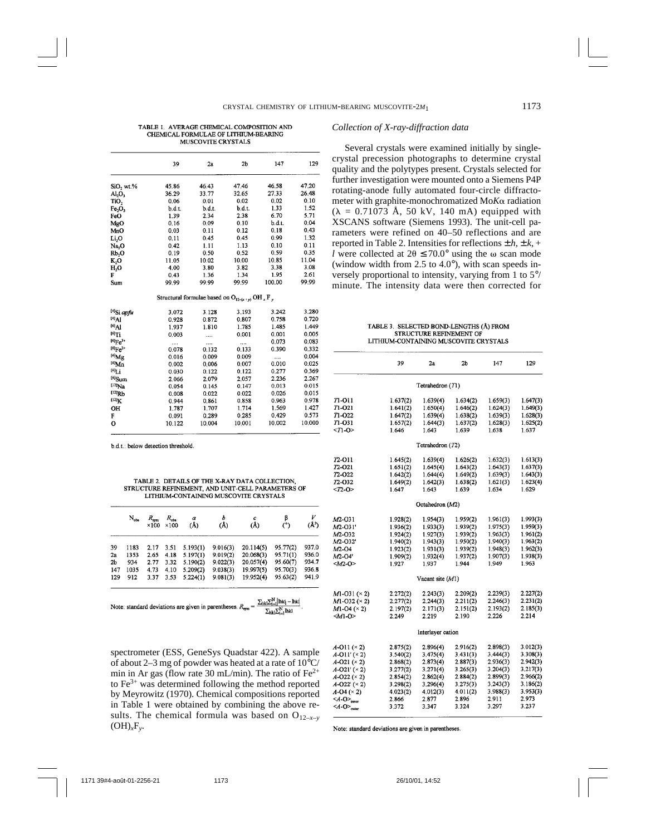#### TABLE 1. AVERAGE CHEMICAL COMPOSITION AND CHEMICAL FORMULAE OF LITHUM-BEARING MUSCOVITE CRYSTALS

|                                | 39     | 2a                                                 | 2 <sub>b</sub> | 147    | 129    |
|--------------------------------|--------|----------------------------------------------------|----------------|--------|--------|
| $SiO2 wt.$ %                   | 45.86  | 46.43                                              | 47.46          | 46.58  | 47.20  |
| AI <sub>2</sub> O <sub>3</sub> | 36.29  | 33.77                                              | 32.65          | 27.33  | 26.48  |
| TiO <sub>2</sub>               | 0.06   | 0.01                                               | 0.02           | 0.02   | 0.10   |
| Fe,O,                          | b.d.t. | b.d.t.                                             | b.d.t.         | 1.33   | 1.52   |
| FeO                            | 1.39   | 2.34                                               | 2.38           | 6.70   | 5.71   |
| MgO                            | 0.16   | 0.09                                               | 0.10           | b.d.t. | 0.04   |
| MnO                            | 0.03   | 0.11                                               | 0.12           | 0.18   | 0.43   |
| Li.O                           | 0.11   | 0.45                                               | 0.45           | 0.99   | 1.32   |
| Na.O                           | 0.42   | 1.11                                               | 1.13           | 0.10   | 0.11   |
| Rb <sub>,</sub> O              | 0.19   | 0.50                                               | 0.52           | 0.59   | 0.35   |
| K,O                            | 11.05  | 10.02                                              | 10.00          | 10.85  | 11.04  |
| H,0                            | 4.00   | 3.80                                               | 3.82           | 3.38   | 3,08   |
| F                              | 0.43   | 1.36                                               | 1.34           | 1.95   | 2.61   |
| Sum                            | 99.99  | 99.99                                              | 99.99          | 100.00 | 99.99  |
|                                |        | Structural formulae based on $O_{12-(x+y)}OH_xF_y$ |                |        |        |
| <sup>[4]</sup> Si apfu         | 3.072  | 3.128                                              | 3.193          | 3.242  | 3.280  |
| $H$ Al                         | 0.928  | 0.872                                              | 0.807          | 0.758  | 0.720  |
| [6A]                           | 1.937  | 1.810                                              | 1.785          | 1.485  | 1.449  |
| 19т:                           | 0.003  |                                                    | 0.001          | 0.001  | 0.005  |
| ${}^{[6]}\text{Fe}^{3+}$       | .      |                                                    |                | 0.073  | 0.083  |
| ${}^{[6]}Fe^{2+}$              | 0.078  | 0.132                                              | 0.133          | 0.390  | 0.332  |
| $^{[6]}Mg$                     | 0.016  | 0.009                                              | 0.009          |        | 0.004  |
| $^{[6]}$ Mn                    | 0.002  | 0.006                                              | 0.007          | 0.010  | 0.025  |
| $^{[6]}$                       | 0.030  | 0.122                                              | 0.122          | 0.277  | 0.369  |
| <sup>[6]</sup> Sum             | 2.066  | 2.079                                              | 2.057          | 2.236  | 2.267  |
| ${}^{[12]}$ Na                 | 0.054  | 0.145                                              | 0.147          | 0.013  | 0.015  |
| $[12]$ Rb                      | 0.008  | 0.022                                              | 0.022          | 0.026  | 0.015  |
| [12]K                          | 0.944  | 0.861                                              | 0.858          | 0.963  | 0.978  |
| OH                             | 1.787  | 1.707                                              | 1.714          | 1.569  | 1.427  |
| F                              | 0.091  | 0.289                                              | 0.285          | 0.429  | 0.573  |
| о                              | 10.122 | 10.004                                             | 10.001         | 10.002 | 10,000 |

#### TABLE 2. DETAILS OF THE X-RAY DATA COLLECTION. STRUCTURE REFINEMENT, AND UNIT-CELL PARAMETERS OF LITHIUM-CONTAINING MUSCOVITE CRYSTALS

|     | $\rm N_{obs}$ | $R_{sym}$<br>×100 | $R_{\rm obs}$<br>×100 | a<br>(Å) | ħ<br>(Å) | с<br>(A)  | (°)      | v<br>$(\AA^3)$ |
|-----|---------------|-------------------|-----------------------|----------|----------|-----------|----------|----------------|
| 39  | 1183          | 2.17              | 3.51                  | 5.193(1) | 9.016(3) | 20.114(5) | 95.77(2) | 937.0          |
| 2a  | 1353          | 2.65              | 4.18                  | 5.197(1) | 9.019(2) | 20.068(3) | 95.71(1) | 936.0          |
| 2b  | 934           | 2.77              | 3.32                  | 5.190(2) | 9.022(3) | 20.057(4) | 95.60(7) | 934.7          |
| 147 | 1035          | 4.73              | 4.10                  | 5.209(2) | 9.038(3) | 19.997(5) | 95.70(3) | 936.8          |
| 129 | 912           | 3.37              | 3.53                  | 5.224(1) | 9.081(3) | 19.952(4) | 95.63(2) | 941.9          |

spectrometer (ESS, GeneSys Quadstar 422). A sample of about 2–3 mg of powder was heated at a rate of  $10^{\circ}$ C/ min in Ar gas (flow rate 30 mL/min). The ratio of  $Fe^{2+}$ to Fe3+ was determined following the method reported by Meyrowitz (1970). Chemical compositions reported in Table 1 were obtained by combining the above results. The chemical formula was based on  $O_{12-x-y}$  $(OH)_xF_v$ .

## *Collection of X-ray-diffraction data*

Several crystals were examined initially by singlecrystal precession photographs to determine crystal quality and the polytypes present. Crystals selected for further investigation were mounted onto a Siemens P4P rotating-anode fully automated four-circle diffractometer with graphite-monochromatized  $M \circ K \alpha$  radiation  $(\lambda = 0.71073 \text{ Å}, 50 \text{ kV}, 140 \text{ mA})$  equipped with XSCANS software (Siemens 1993). The unit-cell parameters were refined on 40–50 reflections and are reported in Table 2. Intensities for reflections  $\pm h, \pm k, +$ *l* were collected at  $2\theta \le 70.0^{\circ}$  using the  $\omega$  scan mode (window width from 2.5 to 4.0°), with scan speeds inversely proportional to intensity, varying from 1 to 5°/ minute. The intensity data were then corrected for

| [ABLE 3. SELECTED BOND-LENGTHS (Å) FROM |
|-----------------------------------------|
| <b>STRUCTURE REFINEMENT OF</b>          |
| LITHIUM-CONTAINING MUSCOVITE CRYSTALS   |

|                                 | 39       | 2a                | 2 <sub>b</sub> | 147      | 129      |
|---------------------------------|----------|-------------------|----------------|----------|----------|
|                                 |          | Tetrahedron (T1)  |                |          |          |
| <i>T</i> 1-011                  | 1.637(2) | 1.639(4)          | 1.634(2)       | 1.659(3) | 1.647(3) |
| $T1-021$                        | 1.641(2) | 1.650(4)          | 1.646(2)       | 1.624(3) | 1.649(3) |
| T1-O22                          | 1.647(2) | 1.639(4)          | 1.638(2)       | 1.639(3) | 1.628(3) |
| T1-031                          | 1.657(2) | 1.644(3)          | 1.637(2)       | 1.628(3) | 1.625(2) |
| $<$ T1-O>                       | 1.646    | 1.643             | 1.639          | 1.638    | 1.637    |
|                                 |          | Tetrahedron (72)  |                |          |          |
| 72-O11                          | 1.645(2) | 1.639(4)          | 1.626(2)       | 1,632(3) | 1.613(3) |
| <b>T2-O21</b>                   | 1.651(2) | 1.645(4)          | 1.643(2)       | 1.643(3) | 1.637(3) |
| T <sub>2</sub> -022             | 1.642(2) | 1.644(4)          | 1.649(2)       | 1.639(3) | 1.643(3) |
| <b>T2-032</b>                   | 1.649(2) | 1.642(3)          | 1.638(2)       | 1.621(3) | 1.623(4) |
| $< 72 - 0$                      | 1.647    | 1.643             | 1.639          | 1.634    | 1.629    |
|                                 |          | Octahedron (M2)   |                |          |          |
| $M2-O31$                        | 1.928(2) | 1.954(3)          | 1.959(2)       | 1.961(3) | 1.993(3) |
| M <sub>2</sub> O <sub>31</sub>  | 1.936(2) | 1.933(3)          | 1.939(2)       | 1.975(3) | 1.959(3) |
| M <sub>2</sub> -O <sub>32</sub> | 1.924(2) | 1.927(3)          | 1.939(2)       | 1.963(3) | 1.961(2) |
| M2-032'                         | 1.940(2) | 1.943(3)          | 1.950(2)       | 1.940(3) | 1.963(2) |
| M <sub>2</sub> -04              | 1.923(2) | 1.931(3)          | 1.939(2)       | 1.948(3) | 1.962(3) |
| M <sub>2</sub> -04'             | 1.909(2) | 1.932(4)          | 1.937(2)       | 1.907(3) | 1.938(3) |
| $M2-O$                          | 1.927    | 1.937             | 1.944          | 1.949    | 1.963    |
|                                 |          | Vacant site (M1)  |                |          |          |
| $M1-031$ ( $\times$ 2)          | 2.272(2) | 2.243(3)          | 2.209(2)       | 2.239(3) | 2.227(2) |
| $M1-032$ ( $\times$ 2)          | 2.277(2) | 2.244(3)          | 2.211(2)       | 2.246(3) | 2.231(2) |
| $M1-04 (× 2)$                   | 2.197(2) | 2.171(3)          | 2.151(2)       | 2.193(2) | 2.185(3) |
| <m1-0></m1-0>                   | 2.249    | 2.219             | 2.190          | 2.226    | 2.214    |
|                                 |          | Interlaver cation |                |          |          |
| $A-O11 (× 2)$                   | 2.875(2) | 2.896(4)          | 2.916(2)       | 2.898(3) | 3.012(3) |
| $A-O11'$ ( $\times$ 2)          | 3,540(2) | 3.475(4)          | 3.431(3)       | 3.444(3) | 3.308(3) |
| $A$ -O21 ( $\times$ 2)          | 2.868(2) | 2.873(4)          | 2.887(3)       | 2.936(3) | 2.942(3) |
| $A-O21'$ ( $\times$ 2)          | 3.277(2) | 3.271(4)          | 3.265(3)       | 3.204(3) | 3.217(3) |
| $A-O22$ ( $\times$ 2)           | 2.354(2) | 2.862(4)          | 2.884(2)       | 2.899(3) | 2.966(2) |
| $A-O22'$ ( $\times$ 2)          | 3.298(2) | 3.296(4)          | 3.275(3)       | 3.243(3) | 3.186(2) |
| $A$ -O4 $(\times 2)$            | 4.023(2) | 4.012(3)          | 4.011(2)       | 3.988(3) | 3.953(3) |
| $\leq$ A-O $>_{\text{inner}}$   | 2.866    | 2.877             | 2.896          | 2.911    | 2.973    |
| $\leq$ A-O>                     | 3.372    | 3.347             | 3.324          | 3.297    | 3.237    |

Note: standard deviations are given in parentheses.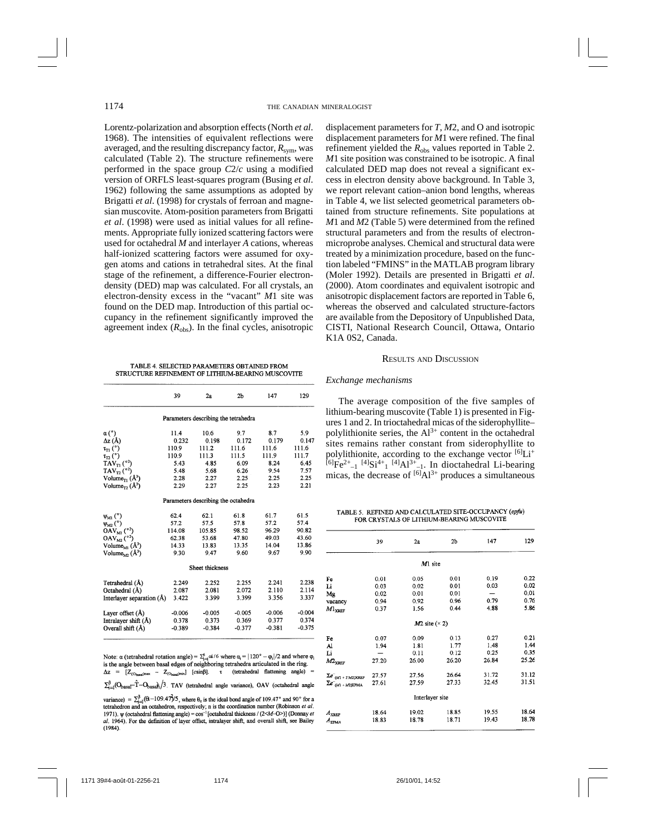Lorentz-polarization and absorption effects (North *et al*. 1968). The intensities of equivalent reflections were averaged, and the resulting discrepancy factor,  $R_{\text{sym}}$ , was calculated (Table 2). The structure refinements were performed in the space group *C*2/*c* using a modified version of ORFLS least-squares program (Busing *et al*. 1962) following the same assumptions as adopted by Brigatti *et al*. (1998) for crystals of ferroan and magnesian muscovite. Atom-position parameters from Brigatti *et al*. (1998) were used as initial values for all refinements. Appropriate fully ionized scattering factors were used for octahedral *M* and interlayer *A* cations, whereas half-ionized scattering factors were assumed for oxygen atoms and cations in tetrahedral sites. At the final stage of the refinement, a difference-Fourier electrondensity (DED) map was calculated. For all crystals, an electron-density excess in the "vacant" *M*1 site was found on the DED map. Introduction of this partial occupancy in the refinement significantly improved the agreement index  $(R<sub>obs</sub>)$ . In the final cycles, anisotropic

TABLE 4. SELECTED PARAMETERS OBTAINED FROM STRUCTURE REFINEMENT OF LITHIUM-BEARING MUSCOVITE

|                                  | 39       | 2a                                   | 2 <sub>b</sub> | 147      | 129      |  |
|----------------------------------|----------|--------------------------------------|----------------|----------|----------|--|
|                                  |          | Parameters describing the tetrahedra |                |          |          |  |
| $\alpha$ (°)                     | 11.4     | 10.6                                 | 9.7            | 8.7      | 5.9      |  |
| $\Delta z$ (Å)                   | 0.232    | 0.198                                | 0.172          | 0.179    | 0.147    |  |
| $\tau_{\text{Ti}}$ (°)           | 110.9    | 111.2                                | 111.6          | 111.6    | 111.6    |  |
| $\tau_{\text{t2}}$ (°)           | 110.9    | 111.3                                | 111.5          | 111.9    | 111.7    |  |
| TAV <sub>T1</sub> $(^{\circ 2})$ | 5.43     | 4.85                                 | 6.09           | 8.24     | 6.45     |  |
| $TAV_{T2} (°2)$                  | 5.48     | 5.68                                 | 6.26           | 9.54     | 7.57     |  |
| Volume <sub>r1</sub> $(A^3)$     | 2.28     | 2.27                                 | 2.25           | 2.25     | 2.25     |  |
| Volume <sub>r</sub> , $(A^3)$    | 2.29     | 2.27                                 | 2.25           | 2.23     | 2.21     |  |
|                                  |          | Parameters describing the octahedra  |                |          |          |  |
| $\psi_{\rm ML}$ (°)              | 62.4     | 62.1                                 | 61.8           | 61.7     | 61.5     |  |
| $\Psi_{\text{M2}}$ (°)           | 57.2     | 57.5                                 | 57.8           | 57.2     | 57.4     |  |
| $\rm OAV_{M1}$ (°2)              | 114.08   | 105.85                               | 98.52          | 96.29    | 90.82    |  |
| $\rm OAV_{M2}$ (°2)              | 62.38    | 53.68                                | 47.80          | 49.03    | 43.60    |  |
| Volume <sub>M</sub> $(A^3)$      | 14.33    | 13.83                                | 13.35          | 14.04    | 13.86    |  |
| Volume <sub>M2</sub> $(\AA^3)$   | 9.30     | 9.47                                 | 9.60           | 9.67     | 9.90     |  |
|                                  |          | Sheet thickness                      |                |          |          |  |
| Tetrahedral (Å)                  | 2.249    | 2.252                                | 2.255          | 2.241    | 2.238    |  |
| Octahedral (Å)                   | 2.087    | 2.081                                | 2.072          | 2.110    | 2.114    |  |
| Interlayer separation (Å)        | 3.422    | 3.399                                | 3.399          | 3.356    | 3.337    |  |
| Layer offset $(A)$               | $-0.006$ | $-0.005$                             | $-0.005$       | $-0.006$ | $-0.004$ |  |
| Intralayer shift $(\AA)$         | 0.378    | 0.373                                | 0.369          | 0.377    | 0.374    |  |
| Overall shift (Å)                | $-0.389$ | $-0.384$                             | $-0.377$       | $-0.381$ | $-0.375$ |  |
|                                  |          |                                      |                |          |          |  |

Note:  $\alpha$  (tetrahedral rotation angle) =  $\Sigma_{i=1}^{6} \alpha/6$  where  $\alpha = |120^{\circ} - \varphi_i|/2$  and where  $\varphi_i$ is the angle between basal edges of neighboring tetrahedra articulated in the ring.  $\Delta z = [Z_{(O_{\text{basal})\text{max}}} - Z_{(O_{\text{basal})\text{min}}]}$  [csinß].  $\tau$  (tetrahedral flattening angle) =

 $\sum_{i=1}^{3} (O_{\text{basal}} - \hat{T} - O_{\text{basal}})/3$ . TAV (tetrahedral angle variance), OAV (octahedral angle

variance) =  $\sum_{i=1}^{3} (\theta - 109.47)/5$ , where  $\theta_0$  is the ideal bond angle of 109.47° and 90° for a tetrahedron and an octahedron, respectively; n is the coordination number (Robinson et al. 1971). ψ (octahedral flattening angle) =  $cos^{-1}$  [octahedral thickness / (2 <M-O>)] (Donnay et al. 1964). For the definition of layer offset, intralayer shift, and overall shift, see Bailey  $(1984)$ .

displacement parameters for *T*, *M*2, and O and isotropic displacement parameters for *M*1 were refined. The final refinement yielded the  $R_{obs}$  values reported in Table 2. *M*1 site position was constrained to be isotropic. A final calculated DED map does not reveal a significant excess in electron density above background. In Table 3, we report relevant cation–anion bond lengths, whereas in Table 4, we list selected geometrical parameters obtained from structure refinements. Site populations at *M*1 and *M*2 (Table 5) were determined from the refined structural parameters and from the results of electronmicroprobe analyses. Chemical and structural data were treated by a minimization procedure, based on the function labeled "FMINS" in the MATLAB program library (Moler 1992). Details are presented in Brigatti *et al*. (2000). Atom coordinates and equivalent isotropic and anisotropic displacement factors are reported in Table 6, whereas the observed and calculated structure-factors are available from the Depository of Unpublished Data, CISTI, National Research Council, Ottawa, Ontario K1A 0S2, Canada.

## RESULTS AND DISCUSSION

#### *Exchange mechanisms*

The average composition of the five samples of lithium-bearing muscovite (Table 1) is presented in Figures 1 and 2. In trioctahedral micas of the siderophyllite– polylithionite series, the  $Al^{3+}$  content in the octahedral sites remains rather constant from siderophyllite to polylithionite, according to the exchange vector <sup>[6]</sup>Li<sup>+</sup>  $^{[6]}Fe^{2+}$ <sub>-1</sub>  $^{[4]}Si^{4+}$ <sub>1</sub>  $^{[4]}Al^{3+}$ <sub>-1</sub>. In dioctahedral Li-bearing micas, the decrease of  $^{[6]}$ Al<sup>3+</sup> produces a simultaneous

TABLE 5. REFINED AND CALCULATED SITE-OCCUPANCY (epfu) FOR CRYSTALS OF LITHIUM-BEARING MUSCOVITE

|                                       | 39    | 2a                     | 2 <sub>b</sub> | 147   | 129   |
|---------------------------------------|-------|------------------------|----------------|-------|-------|
|                                       |       | M1 site                |                |       |       |
| Fe                                    | 0.01  | 0.05                   | 0.01           | 0.19  | 0.22  |
| Li                                    | 0.03  | 0.02                   | 0.01           | 0.03  | 0.02  |
| Mg                                    | 0.02  | 0.01                   | 0.01           |       | 0.01  |
| vacancy                               | 0.94  | 0.92                   | 0.96           | 0.79  | 0.76  |
| $M1_{XREF}$                           | 0.37  | 1.56                   | 0.44           | 4.88  | 5.86  |
|                                       |       | $M2$ site $(\times 2)$ |                |       |       |
| Fe                                    | 0.07  | 0.09                   | 0.13           | 0.27  | 0.21  |
| $\mathbf{A} \mathbf{l}$               | 1.94  | 1.81                   | 1.77           | 1.48  | 1.44  |
| Li                                    |       | 0.11                   | 0.12           | 0.25  | 0.35  |
| $M2_{XRET}$                           | 27.20 | 26.00                  | 26.20          | 26.84 | 25.26 |
| $\Sigma e^-$ (M1 + 2'M2)XREF          | 27.57 | 27.56                  | 26.64          | 31.72 | 31.12 |
| $\Sigma e^-$ <sub>(M1</sub> + M2)EPMA | 27.61 | 27.59                  | 27.33          | 32.45 | 31.51 |
|                                       |       | Interlayer site        |                |       |       |
| $A_{\rm XREF}$                        | 18.64 | 19.02                  | 18.85          | 19.55 | 18.64 |
| $A_{\mathrm{EPMA}}$                   | 18.83 | 18.78                  | 18.71          | 19.43 | 18.78 |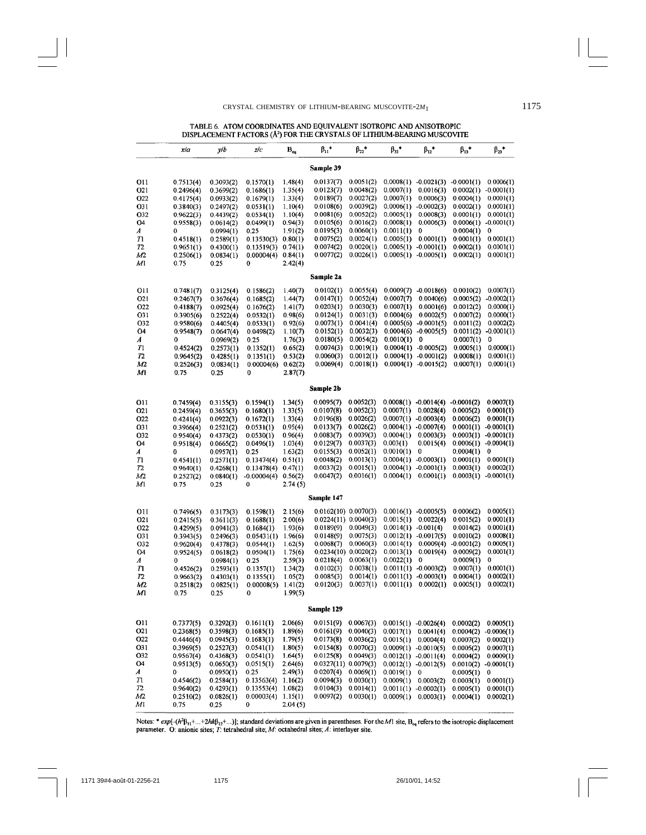# TABLE 6. ATOM COORDINATES AND EQUIVALENT ISOTROPIC AND ANISOTROPIC DISPLACEMENT FACTORS  $(\AA^2)$  FOR THE CRYSTALS OF LITHIUM-BEARING MUSCOVITE

|                    | xla                    | ylb                    | zlc                    | $\mathbf{B}_{\mathrm{eq}}$ | $\beta_{11}$ *           | $b_{22}$ *             | $\beta_{33}$ *        | $\beta_{12}$ *                    | $\beta_{13}$ *         | $\beta_{23}$ *                         |
|--------------------|------------------------|------------------------|------------------------|----------------------------|--------------------------|------------------------|-----------------------|-----------------------------------|------------------------|----------------------------------------|
|                    |                        |                        |                        |                            | Sample 39                |                        |                       |                                   |                        |                                        |
| 011                | 0.7513(4)              | 0.3093(2)              | 0.1570(1)              | 1.48(4)                    | 0.0137(7)                | 0.0051(2)              |                       | $0,0008(1) -0.0021(3) -0.0001(1)$ |                        | 0.0006(1)                              |
| O21                | 0.2496(4)              | 0.3699(2)              | 0.1686(1)              | 1.35(4)                    | 0.0123(7)                | 0.0048(2)              | 0.0007(1)             | 0.0016(3)                         | 0.0002(1)              | $-0.0001(1)$                           |
| O22                | 0.4175(4)              | 0.0933(2)              | 0.1679(1)              | 1.33(4)                    | 0.0189(7)                | 0.0027(2)              | 0.0007(1)             | 0.0006(3)                         | 0.0004(1)              | 0.0001(1)                              |
| O31                | 0.3840(3)              | 0.2497(2)              | 0.0531(1)              | 1.10(4)                    | 0.0108(6)                | 0.0039(2)              | 0.0006(1)             | $-0.0002(3)$                      | 0.0002(1)              | 0.0001(1)                              |
| O32                | 0.9622(3)              | 0.4439(2)              | 0.0534(1)              | 1.10(4)                    | 0.0081(6)                | 0.0052(2)              | 0.0005(1)             | 0.0008(3)                         | 0.0001(1)              | 0.0001(1)                              |
| О4                 | 0.9558(3)              | 0.0614(2)              | 0.0499(1)              | 0.94(3)                    | 0.0105(6)                | 0.0016(2)              | 0.0008(1)             | 0.0006(3)                         | 0.0006(1)              | $-0.0001(1)$                           |
| A                  | 0                      | 0.0994(1)              | 0.25                   | 1.91(2)                    | 0.0195(3)                | 0.0060(1)              | 0.0011(1)             | 0                                 | 0.0004(1)              | 0                                      |
| Tl                 | 0.4518(1)              | 0.2589(1)              | 0.13530(3)             | 0.80(1)                    | 0.0075(2)                | 0.0024(1)              | 0.0005(1)             | 0.0001(1)                         | 0.0001(1)              | 0.0001(1)                              |
| T2                 | 0.9651(1)              | 0.4300(1)              | 0.13519(3)             | 0.74(1)                    | 0.0074(2)                | 0.0020(1)<br>0.0026(1) |                       | $0.0005(1) -0.0001(1)$            | 0.0002(1)              | 0.0001(1)                              |
| M2<br>M1           | 0.2506(1)<br>0.75      | 0.0834(1)<br>0.25      | 0.00004(4)<br>0        | 0.84(1)<br>2.42(4)         | 0.0077(2)                |                        |                       | $0.0005(1) -0.0005(1)$            | 0.0002(1)              | 0.0001(1)                              |
|                    |                        |                        |                        |                            | Sample 2a                |                        |                       |                                   |                        |                                        |
| O11                | 0.7481(7)              | 0.3125(4)              | 0.1586(2)              | 1.40(7)                    | 0.0102(1)                | 0.0055(4)              |                       | $0.0009(7) -0.0018(6)$            | 0.0010(2)              | 0.0007(1)                              |
| O <sub>21</sub>    | 0.2467(7)              | 0.3676(4)              | 0.1685(2)              | 1.44(7)                    | 0.0147(1)                | 0.0052(4)              | 0.0007(7)             | 0.0040(6)                         | 0.0005(2)              | $-0.0002(1)$                           |
| O22                | 0.4188(7)              | 0.0925(4)              | 0.1676(2)              | 1.41(7)                    | 0.0203(1)                | 0.0030(3)              | 0.0007(1)             | 0.0001(6)                         | 0.0012(2)              | 0,0000(1)                              |
| O31                | 0.3905(6)              | 0.2522(4)              | 0.0532(1)              | 0.98(6)                    | 0.0124(1)                | 0.0031(3)              | 0.0004(6)             | 0.0002(5)                         | 0.0007(2)              | 0.0000(1)                              |
| O32                | 0.9580(6)              | 0.4405(4)              | 0.0533(1)              | 0.92(6)                    | 0.0073(1)                | 0.0041(4)              |                       | $0.0005(6) -0.0001(5)$            | 0.0011(2)              | 0.0002(2)                              |
| 04                 | 0.9548(7)              | 0.0647(4)              | 0.0498(2)              | 1.10(7)                    | 0.0152(1)                | 0.0032(3)              |                       | $0.0004(6) -0.0005(5)$            |                        | $0.0011(2) -0.0001(1)$                 |
| A                  | 0                      | 0.0969(2)              | 0.25                   | 1.76(3)                    | 0.0180(5)                | 0.0054(2)              | 0.0010(1)             | 0                                 | 0.0007(1)              | 0                                      |
| $\scriptstyle r_1$ | 0.4524(2)              | 0.2573(1)              | 0.1352(1)              | 0.65(2)                    | 0.0074(3)                | 0.0019(1)              |                       | $0.0004(1) -0.0005(2)$            | 0.0005(1)              | 0.0000(1)                              |
| 72                 | 0.9645(2)              | 0.4285(1)              | 0.1351(1)              | 0.53(2)                    | 0.0060(3)                | 0.0012(1)              |                       | $0.0004(1) - 0.0001(2)$           | 0.0008(1)              | 0.0001(1)                              |
| M2                 | 0.2526(3)              | 0.0834(1)              | 0.00004(6)             | 0.62(2)                    | 0.0069(4)                | 0.0018(1)              |                       | $0.0004(1) -0.0015(2)$            | 0.0007(1)              | 0.0001(1)                              |
| M                  | 0.75                   | 0.25                   | 0                      | 2.87(7)                    |                          |                        |                       |                                   |                        |                                        |
|                    |                        |                        |                        |                            | Sample 2b                |                        |                       |                                   |                        |                                        |
| 011                | 0.7459(4)              | 0.3155(3)              | 0.1594(1)              | 1.34(5)                    | 0.0095(7)                | 0.0052(3)              |                       | $0.0008(1) -0.0014(4)$            | $-0.0001(2)$           | 0.0007(1)                              |
| 021                | 0.2459(4)              | 0.3655(3)              | 0.1680(1)              | 1.33(5)                    | 0.0107(8)                | 0.0052(3)              | 0.0007(1)             | 0.0028(4)                         | 0.0005(2)              | 0.0001(1)                              |
| O22                | 0.4241(4)              | 0.0922(3)              | 0.1672(1)              | 1.33(4)                    | 0.0196(8)                | 0.0026(2)              |                       | $0.0007(1)$ -0.0003(4)            | 0.0006(2)              | 0.0001(1)                              |
| 031                | 0.3966(4)              | 0.2521(2)              | 0.0531(1)              | 0.95(4)                    | 0.0133(7)                | 0.0026(2)              |                       | $0.0004(1) -0.0007(4)$            | 0.0001(1)              | $-0.0001(1)$                           |
| O32                | 0.9540(4)              | 0.4373(2)              | 0.0530(1)              | 0.96(4)                    | 0.0083(7)                | 0.0039(3)<br>0.0037(3) | 0.0004(1)<br>0.003(1) | 0.0003(3)<br>0.0015(4)            | 0.0003(1)              | $-0.0001(1)$<br>$0.0006(1) -0.0004(1)$ |
| 04<br>A            | 0.9518(4)<br>0         | 0.0665(2)              | 0.0496(1)<br>0.25      | 1.03(4)<br>1.63(2)         | 0.0129(7)<br>0.0155(3)   | 0.0052(1)              | 0.0010(1)             | 0                                 | 0.0004(1)              | 0                                      |
| 71                 | 0.4541(1)              | 0.0957(1)<br>0.2571(1) | 0.13474(4)             | 0.51(1)                    | 0.0048(2)                | 0.0013(1)              | 0.0004(1)             | $-0.0003(1)$                      | 0.0001(1)              | 0.0001(1)                              |
| T <sub>2</sub>     | 0.9640(1)              | 0.4268(1)              | 0.13478(4)             | 0.47(1)                    | 0.0037(2)                | 0.0015(1)              | 0.0004(1)             | $-0.0001(1)$                      | 0.0003(1)              | 0.0002(1)                              |
| М2                 | 0.2527(2)              | 0.0840(1)              | $-0.00004(4)$          | 0.56(2)                    | 0.0047(2)                | 0.0016(1)              | 0.0004(1)             | 0.0001(1)                         | 0.0003(1)              | $-0.0001(1)$                           |
| M.                 | 0.75                   | 0.25                   | 0                      | 2.74(5)                    |                          |                        |                       |                                   |                        |                                        |
|                    |                        |                        |                        |                            | Sample 147               |                        |                       |                                   |                        |                                        |
| 011                | 0.7496(5)              | 0.3173(3)              | 0.1598(1)              | 2.15(6)                    | $0.0162(10)$ $0.0070(3)$ |                        |                       | $0.0016(1) -0.0005(5)$            | 0.0006(2)              | 0.0005(1)                              |
| 021                | 0.2415(5)              | 0.3611(3)              | 0.1688(1)              | 2.00(6)                    | $0.0224(11)$ $0.0040(3)$ |                        | 0.0015(1)             | 0.0022(4)                         | 0.0015(2)              | 0.0001(1)                              |
| O22                | 0.4299(5)              | 0.0941(3)              | 0.1684(1)              | 1.93(6)                    | 0.0189(9)                | 0.0049(3)              | $0.0014(1) -0.001(4)$ |                                   | 0.0014(2)              | 0.0001(1)                              |
| O31                | 0.3943(5)              | 0.2496(3)              | 0.05431(1)             | 1.96(6)                    | 0.0148(9)                | 0.0075(3)              |                       | $0.0012(1) - 0.0017(5)$           | 0.0010(2)              | 0.0008(1)                              |
| O32                | 0.9620(4)              | 0.4378(3)              | 0.0544(1)              | 1.62(5)                    | 0.0068(7)                | 0.0060(3)              | 0.0014(1)             | 0.0009(4)<br>0.0019(4)            | $-0.0001(2)$           | 0.0005(1)                              |
| 04                 | 0.9524(5)              | 0.0618(2)              | 0.0504(1)              | 1.75(6)<br>2.59(3)         | $0.0234(10)$ $0.0020(2)$ | 0.0063(1)              | 0.0013(1)             | 0                                 | 0.0009(2)<br>0.0009(1) | 0.0001(1)<br>0                         |
| A<br>71            | 0                      | 0.0984(1)              | 0.25                   | 1.34(2)                    | 0.0218(4)<br>0.0102(3)   | 0.0038(1)              | 0.0022(1)             | $0.0011(1) -0.0003(2)$            | 0.0007(1)              | 0.0001(1)                              |
| 72                 | 0.4526(2)<br>0.9663(2) | 0.2593(1)<br>0.4303(1) | 0.1357(1)<br>0.1355(1) | 1.05(2)                    | 0.0085(3)                | 0.0014(1)              |                       | $0.0011(1) - 0.0003(1)$           | 0.0004(1)              | 0.0002(1)                              |
| M2                 | 0.2518(2)              | 0.0825(1)              | 0.00008(5)             | 1.41(2)                    | 0.0120(3)                | 0.0037(1)              | 0.0011(1)             | 0.0002(1)                         | 0.0005(1)              | 0.0002(1)                              |
| М1                 | 0.75                   | 0.25                   | 0                      | 1.99(5)                    |                          |                        |                       |                                   |                        |                                        |
|                    |                        |                        |                        |                            | Sample 129               |                        |                       |                                   |                        |                                        |
|                    |                        |                        | 0.1611(1)              |                            | 0.0151(9)                |                        |                       | $0.0015(1) -0.0026(4)$            |                        |                                        |
| 011<br>O21         | 0.7377(5)<br>0.2368(5) | 0.3292(3)<br>0.3598(3) | 0.1685(1)              | 2.06(6)<br>1.89(6)         | 0.0161(9)                | 0.0067(3)<br>0.0040(3) | 0.0017(1)             | 0.0041(4)                         | 0.0002(2)<br>0.0004(2) | 0.0005(1)<br>$-0.0006(1)$              |
| O22                | 0.4446(4)              | 0.0945(3)              | 0.1683(1)              | 1.79(5)                    | 0.0173(8)                | 0.0036(2)              | 0.0015(1)             | 0.0004(4)                         | 0.0007(2)              | 0.0002(1)                              |
| O31                | 0.3969(5)              | 0.2527(3)              | 0.0541(1)              | 1.80(5)                    | 0.0154(8)                | 0.0070(3)              |                       | $0.0009(1) -0.0010(5)$            | 0.0005(2)              | 0.0007(1)                              |
| 032                | 0.9567(4)              | 0.4368(3)              | 0.0541(1)              | 1.64(5)                    | 0.0125(8)                | 0.0049(3)              |                       | $0.0012(1) -0.0011(4)$            | 0.0004(2)              | 0.0009(1)                              |
| O4                 | 0.9513(5)              | 0.0650(3)              | 0.0515(1)              | 2.64(6)                    | $0.0327(11)$ 0.0079(3)   |                        |                       | $0.0012(1) -0.0012(5)$            | $0.0010(2) -0.0001(1)$ |                                        |
| A                  | 0                      | 0.0950(1)              | 0.25                   | 2.49(3)                    | 0.0207(4)                | 0.0069(1)              | 0.0019(1)             | 0                                 | 0.0005(1)              | 0                                      |
| Tl                 | 0.4546(2)              | 0.2584(1)              | 0.13563(4)             | 1.16(2)                    | 0.0094(3)                | 0.0030(1)              | 0.0009(1)             | 0.0003(2)                         | 0.0003(1)              | 0.0001(1)                              |
| 72                 | 0.9640(2)              | 0.4293(1)              | $0.13553(4)$ 1.08(2)   |                            | 0.0104(3)                | 0.0014(1)              |                       | $0.0011(1) -0.0002(1)$            | 0.0005(1)              | 0.0001(1)                              |
| М2                 | 0.2510(2)              | 0.0826(1)              | $0.00003(4)$ 1.15(1)   |                            | 0.0097(2)                | 0.0030(1)              | 0.0009(1)             | 0.0003(1)                         | 0.0004(1)              | 0.0002(1)                              |
| M1                 | 0.75                   | 0.25                   | 0                      | 2.04(5)                    |                          |                        |                       |                                   |                        |                                        |

Notes: \* exp[- $(h^2\beta_{11} + ... + 2hk\beta_{12} + ...)$ ]; standard deviations are given in parentheses. For the M1 site, B<sub>eq</sub> refers to the isotropic displacement parameter. O: anionic sites; T: tetrahedral site; M: octahedral sites; A: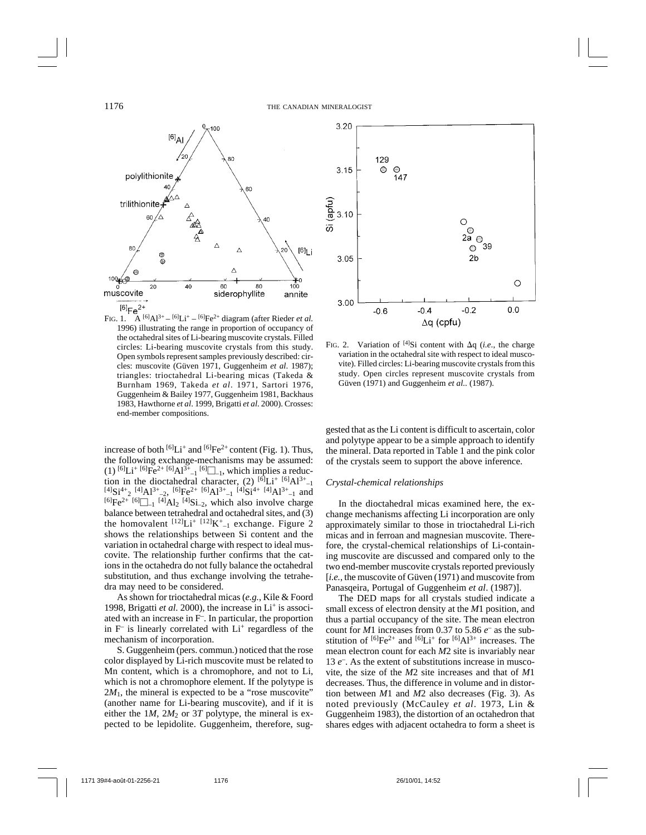

FIG. 1. A  $^{[6]}Al^{3+} - ^{[6]}Li^{+} - ^{[6]}Fe^{2+}$  diagram (after Rieder *et al.*) 1996) illustrating the range in proportion of occupancy of the octahedral sites of Li-bearing muscovite crystals. Filled circles: Li-bearing muscovite crystals from this study. Open symbols represent samples previously described: circles: muscovite (Güven 1971, Guggenheim *et al*. 1987); triangles: trioctahedral Li-bearing micas (Takeda & Burnham 1969, Takeda *et al*. 1971, Sartori 1976, Guggenheim & Bailey 1977, Guggenheim 1981, Backhaus 1983, Hawthorne *et al*. 1999, Brigatti *et al*. 2000). Crosses: end-member compositions.

increase of both  $^{[6]}Li^+$  and  $^{[6]}Fe^{2+}$  content (Fig. 1). Thus, the following exchange-mechanisms may be assumed: (1)  ${}^{[6]}L_1{}^{+}{[6]}Fe^{2+}{[6]}Al^{3+}{}_{-1}{}^{[6]}L_{-1}$ , which implies a reduc-<br>tion in the dioctahedral character, (2)  ${}^{[6]}L_1{}^{+}{[6]}Al^{3+}{}_{-1}$  $t^{[4]}Si^{4+}_2$   $^{[4]}Al^{3+}_{-2}$ ,  $^{[6]}Fe^{2+}$   $^{[6]}Al^{3+}_{-1}$   $^{[4]}Si^{4+}$   $^{[4]}Al^{3+}_{-1}$  and  $^{[6]}Fe^{2+}[6]$ <sub>-1</sub> $^{[4]}Al_2$ <sup>[4]</sup>Si<sub>-2</sub>, which also involve charge balance between tetrahedral and octahedral sites, and (3) the homovalent  $^{[12]}Li^{+}[^{12]}K^{+}_{-1}$  exchange. Figure 2 shows the relationships between Si content and the variation in octahedral charge with respect to ideal muscovite. The relationship further confirms that the cations in the octahedra do not fully balance the octahedral substitution, and thus exchange involving the tetrahedra may need to be considered.

As shown for trioctahedral micas (*e.g.*, Kile & Foord 1998, Brigatti *et al*. 2000), the increase in Li+ is associated with an increase in F–. In particular, the proportion in F<sup>-</sup> is linearly correlated with Li<sup>+</sup> regardless of the mechanism of incorporation.

S. Guggenheim (pers. commun.) noticed that the rose color displayed by Li-rich muscovite must be related to Mn content, which is a chromophore, and not to Li, which is not a chromophore element. If the polytype is  $2M<sub>1</sub>$ , the mineral is expected to be a "rose muscovite" (another name for Li-bearing muscovite), and if it is either the  $1M$ ,  $2M_2$  or 3*T* polytype, the mineral is expected to be lepidolite. Guggenheim, therefore, sug-



FIG. 2. Variation of <sup>[4]</sup>Si content with  $\Delta q$  (*i.e.*, the charge variation in the octahedral site with respect to ideal muscovite). Filled circles: Li-bearing muscovite crystals from this study. Open circles represent muscovite crystals from Güven (1971) and Guggenheim *et al.*. (1987).

gested that as the Li content is difficult to ascertain, color and polytype appear to be a simple approach to identify the mineral. Data reported in Table 1 and the pink color of the crystals seem to support the above inference.

## *Crystal-chemical relationships*

In the dioctahedral micas examined here, the exchange mechanisms affecting Li incorporation are only approximately similar to those in trioctahedral Li-rich micas and in ferroan and magnesian muscovite. Therefore, the crystal-chemical relationships of Li-containing muscovite are discussed and compared only to the two end-member muscovite crystals reported previously [*i.e.*, the muscovite of Güven (1971) and muscovite from Panasqeira, Portugal of Guggenheim *et al*. (1987)].

The DED maps for all crystals studied indicate a small excess of electron density at the *M*1 position, and thus a partial occupancy of the site. The mean electron count for *M*1 increases from 0.37 to 5.86 *e*– as the substitution of  $^{[6]}Fe^{2+}$  and  $^{[6]}Li^{+}$  for  $^{[6]}Al^{3+}$  increases. The mean electron count for each *M*2 site is invariably near 13 *e*– . As the extent of substitutions increase in muscovite, the size of the *M*2 site increases and that of *M*1 decreases. Thus, the difference in volume and in distortion between *M*1 and *M*2 also decreases (Fig. 3). As noted previously (McCauley *et al*. 1973, Lin & Guggenheim 1983), the distortion of an octahedron that shares edges with adjacent octahedra to form a sheet is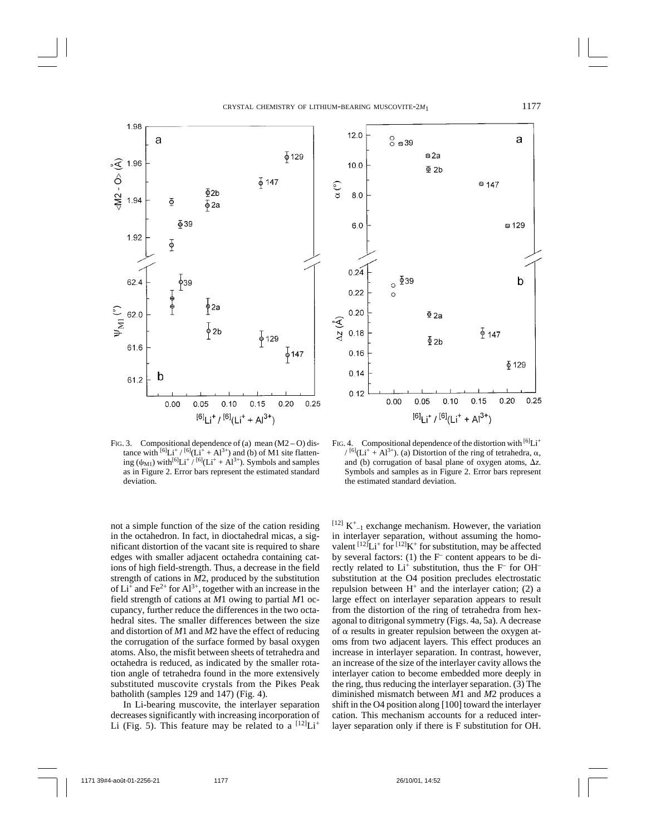

FIG. 3. Compositional dependence of (a) mean  $(M2 - O)$  distance with  $[6]Li^+$  /  $[6]Li^+$  + Al<sup>3+</sup>) and (b) of M1 site flattening  $(\psi_{M1})$  with<sup>[6]</sup>Li<sup>+</sup> / <sup>[6]</sup>(Li<sup>+</sup> + Al<sup>3+</sup>). Symbols and samples as in Figure 2. Error bars represent the estimated standard deviation.

not a simple function of the size of the cation residing in the octahedron. In fact, in dioctahedral micas, a significant distortion of the vacant site is required to share edges with smaller adjacent octahedra containing cations of high field-strength. Thus, a decrease in the field strength of cations in *M*2, produced by the substitution of  $Li^+$  and Fe<sup>2+</sup> for Al<sup>3+</sup>, together with an increase in the field strength of cations at *M*1 owing to partial *M*1 occupancy, further reduce the differences in the two octahedral sites. The smaller differences between the size and distortion of *M*1 and *M*2 have the effect of reducing the corrugation of the surface formed by basal oxygen atoms. Also, the misfit between sheets of tetrahedra and octahedra is reduced, as indicated by the smaller rotation angle of tetrahedra found in the more extensively substituted muscovite crystals from the Pikes Peak batholith (samples 129 and 147) (Fig. 4).

In Li-bearing muscovite, the interlayer separation decreases significantly with increasing incorporation of Li (Fig. 5). This feature may be related to a  $[12]$ Li<sup>+</sup>



FIG. 4. Compositional dependence of the distortion with  $[6]$ Li<sup>+</sup>  $/$  [6](Li<sup>+</sup> + Al<sup>3+</sup>). (a) Distortion of the ring of tetrahedra,  $\alpha$ , and (b) corrugation of basal plane of oxygen atoms,  $\Delta z$ . Symbols and samples as in Figure 2. Error bars represent the estimated standard deviation.

 $^{[12]}$  K<sup>+</sup><sub>-1</sub> exchange mechanism. However, the variation in interlayer separation, without assuming the homovalent  $^{[12]}Li^+$  for  $^{[12]}K^+$  for substitution, may be affected by several factors: (1) the F– content appears to be directly related to  $Li^+$  substitution, thus the  $F^-$  for OH<sup>-</sup> substitution at the O4 position precludes electrostatic repulsion between  $H^+$  and the interlayer cation; (2) a large effect on interlayer separation appears to result from the distortion of the ring of tetrahedra from hexagonal to ditrigonal symmetry (Figs. 4a, 5a). A decrease of  $\alpha$  results in greater repulsion between the oxygen atoms from two adjacent layers. This effect produces an increase in interlayer separation. In contrast, however, an increase of the size of the interlayer cavity allows the interlayer cation to become embedded more deeply in the ring, thus reducing the interlayer separation. (3) The diminished mismatch between *M*1 and *M*2 produces a shift in the O4 position along [100] toward the interlayer cation. This mechanism accounts for a reduced interlayer separation only if there is F substitution for OH.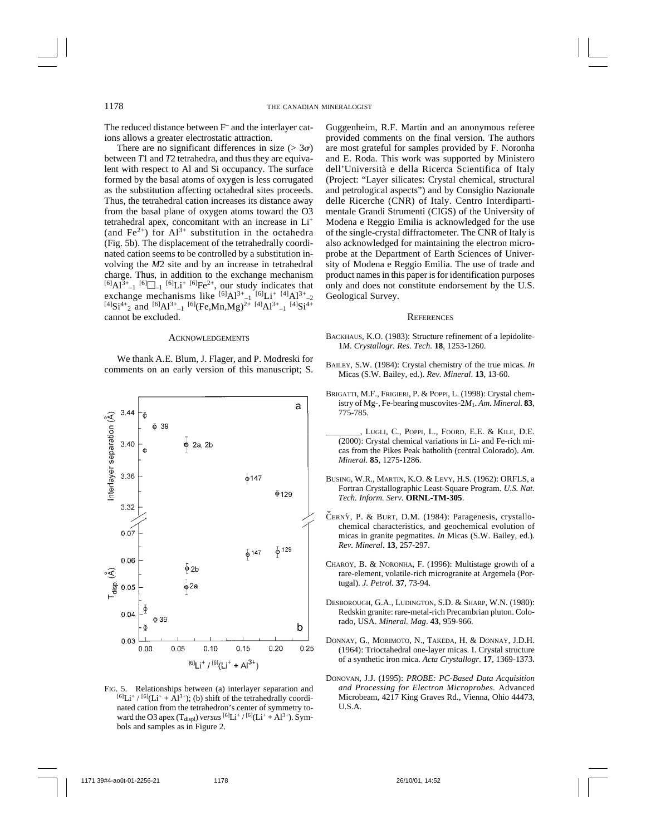The reduced distance between F– and the interlayer cations allows a greater electrostatic attraction.

There are no significant differences in size ( $> 3\sigma$ ) between *T*1 and *T*2 tetrahedra, and thus they are equivalent with respect to Al and Si occupancy. The surface formed by the basal atoms of oxygen is less corrugated as the substitution affecting octahedral sites proceeds. Thus, the tetrahedral cation increases its distance away from the basal plane of oxygen atoms toward the O3 tetrahedral apex, concomitant with an increase in Li+ (and  $Fe^{2+}$ ) for  $Al^{3+}$  substitution in the octahedra (Fig. 5b). The displacement of the tetrahedrally coordinated cation seems to be controlled by a substitution involving the *M*2 site and by an increase in tetrahedral charge. Thus, in addition to the exchange mechanism  $[6]A1^{3+}$ <sub>-1</sub>  $[6]$ <sub>-1</sub>  $[6]Li^{+}$   $[6]Fe^{2+}$ , our study indicates that exchange mechanisms like  $^{[6]} \text{Al}^{3+}$ <sub>1</sub>  $^{[6]} \text{Li}^{+} {^{[4]} \text{Al}^{3+}$ <sub>-2</sub>  $^{[4]} \text{Si}^{4+}$ <sub>2</sub> and  $^{[6]} \text{Al}^{3+}$ <sub>-1</sub>  $^{[6]} (\text{Fe}, \text{Mn}, \text{Mg})^{2+}$   $^{[4]} \text{Al}^{3+}$ <sub>-1</sub>  $^{[4]} \text{Si}^{4+}$ cannot be excluded.

#### **ACKNOWLEDGEMENTS**

We thank A.E. Blum, J. Flager, and P. Modreski for comments on an early version of this manuscript; S.



FIG. 5. Relationships between (a) interlayer separation and  $[6]Li^+$  /  $[6]Li^+ + Al^{3+}$ ); (b) shift of the tetrahedrally coordinated cation from the tetrahedron's center of symmetry toward the O3 apex (T<sub>displ</sub>) *versus*<sup>[6]</sup>Li<sup>+</sup>/<sup>[6]</sup>(Li<sup>+</sup> + Al<sup>3+</sup>). Symbols and samples as in Figure 2.

Guggenheim, R.F. Martin and an anonymous referee provided comments on the final version. The authors are most grateful for samples provided by F. Noronha and E. Roda. This work was supported by Ministero dell'Università e della Ricerca Scientifica of Italy (Project: "Layer silicates: Crystal chemical, structural and petrological aspects") and by Consiglio Nazionale delle Ricerche (CNR) of Italy. Centro Interdipartimentale Grandi Strumenti (CIGS) of the University of Modena e Reggio Emilia is acknowledged for the use of the single-crystal diffractometer. The CNR of Italy is also acknowledged for maintaining the electron microprobe at the Department of Earth Sciences of University of Modena e Reggio Emilia. The use of trade and product names in this paper is for identification purposes only and does not constitute endorsement by the U.S. Geological Survey.

#### **REFERENCES**

- BACKHAUS, K.O. (1983): Structure refinement of a lepidolite-1*M*. *Crystallogr. Res. Tech.* **18**, 1253-1260.
- BAILEY, S.W. (1984): Crystal chemistry of the true micas. *In* Micas (S.W. Bailey, ed.). *Rev. Mineral*. **13**, 13-60.
- BRIGATTI, M.F., FRIGIERI, P. & POPPI, L. (1998): Crystal chemistry of Mg-, Fe-bearing muscovites-2*M*1. *Am. Mineral.* **83**, 775-785.
- \_\_\_\_\_\_\_\_, LUGLI, C., POPPI, L., FOORD, E.E. & KILE, D.E. (2000): Crystal chemical variations in Li- and Fe-rich micas from the Pikes Peak batholith (central Colorado). *Am. Mineral.* **85**, 1275-1286.
- BUSING, W.R., MARTIN, K.O. & LEVY, H.S. (1962): ORFLS, a Fortran Crystallographic Least-Square Program. *U.S. Nat. Tech. Inform. Serv.* **ORNL-TM-305**.
- ČERNÝ, P. & BURT, D.M. (1984): Paragenesis, crystallochemical characteristics, and geochemical evolution of micas in granite pegmatites. *In* Micas (S.W. Bailey, ed.). *Rev. Mineral*. **13**, 257-297.
- CHAROY, B. & NORONHA, F. (1996): Multistage growth of a rare-element, volatile-rich microgranite at Argemela (Portugal). *J. Petrol.* **37**, 73-94.
- DESBOROUGH, G.A., LUDINGTON, S.D. & SHARP, W.N. (1980): Redskin granite: rare-metal-rich Precambrian pluton. Colorado, USA. *Mineral. Mag*. **43**, 959-966.
- DONNAY, G., MORIMOTO, N., TAKEDA, H. & DONNAY, J.D.H. (1964): Trioctahedral one-layer micas. I. Crystal structure of a synthetic iron mica. *Acta Crystallogr*. **17**, 1369-1373.
- DONOVAN, J.J. (1995): *PROBE: PC-Based Data Acquisition and Processing for Electron Microprobes.* Advanced Microbeam, 4217 King Graves Rd., Vienna, Ohio 44473, U.S.A.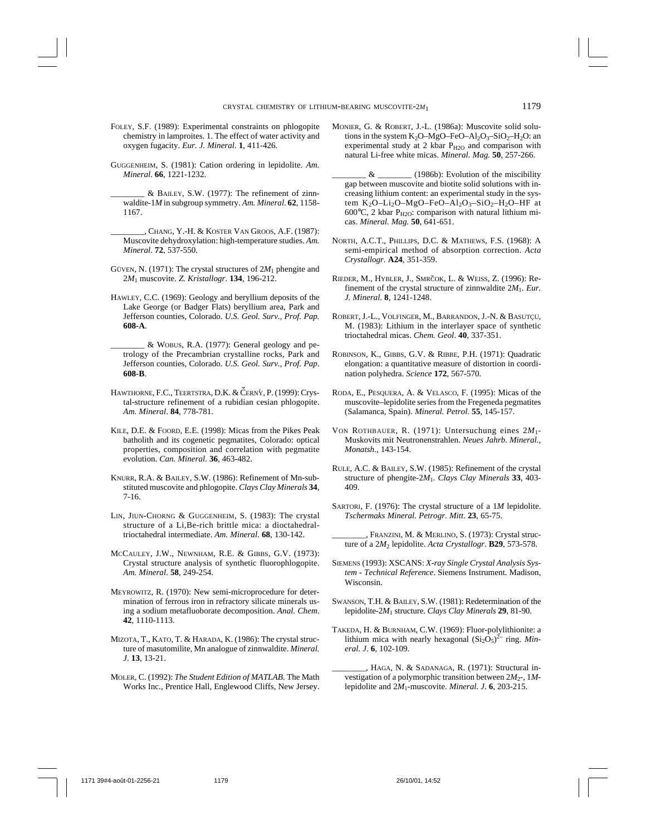- FOLEY, S.F. (1989): Experimental constraints on phlogopite chemistry in lamproites. 1. The effect of water activity and oxygen fugacity. *Eur. J. Mineral*. **1**, 411-426.
- GUGGENHEIM, S. (1981): Cation ordering in lepidolite. *Am. Mineral*. **66**, 1221-1232.
	- \_\_\_\_\_\_\_\_ & BAILEY, S.W. (1977): The refinement of zinnwaldite-1*M* in subgroup symmetry. *Am. Mineral*. **62**, 1158- 1167.
- \_\_\_\_\_\_\_\_, CHANG, Y.-H. & KOSTER VAN GROOS, A.F. (1987): Muscovite dehydroxylation: high-temperature studies. *Am. Mineral*. **72**, 537-550.
- GÜVEN, N. (1971): The crystal structures of 2*M*1 phengite and 2*M*1 muscovite. *Z. Kristallogr*. **134**, 196-212.
- HAWLEY, C.C. (1969): Geology and beryllium deposits of the Lake George (or Badger Flats) beryllium area, Park and Jefferson counties, Colorado. *U.S. Geol. Surv., Prof. Pap.* **608-A**.
- \_\_\_\_\_\_\_\_ & WOBUS, R.A. (1977): General geology and petrology of the Precambrian crystalline rocks, Park and Jefferson counties, Colorado. *U.S. Geol. Surv., Prof. Pap*. **608-B**.
- HAWTHORNE, F.C., TEERTSTRA, D.K. & ČERNÝ, P. (1999): Crystal-structure refinement of a rubidian cesian phlogopite. *Am. Mineral*. **84**, 778-781.
- KILE, D.E. & FOORD, E.E. (1998): Micas from the Pikes Peak batholith and its cogenetic pegmatites, Colorado: optical properties, composition and correlation with pegmatite evolution. *Can. Mineral*. **36**, 463-482.
- KNURR, R.A. & BAILEY, S.W. (1986): Refinement of Mn-substituted muscovite and phlogopite. *Clays Clay Minerals* **34**, 7-16.
- LIN, JIUN-CHORNG & GUGGENHEIM, S. (1983): The crystal structure of a Li,Be-rich brittle mica: a dioctahedraltrioctahedral intermediate. *Am. Mineral*. **68**, 130-142.
- MCCAULEY, J.W., NEWNHAM, R.E. & GIBBS, G.V. (1973): Crystal structure analysis of synthetic fluorophlogopite. *Am. Mineral*. **58**, 249-254.
- MEYROWITZ, R. (1970): New semi-microprocedure for determination of ferrous iron in refractory silicate minerals using a sodium metafluoborate decomposition. *Anal. Chem*. **42**, 1110-1113.
- MIZOTA, T., KATO, T. & HARADA, K. (1986): The crystal structure of masutomilite, Mn analogue of zinnwaldite. *Mineral. J*. **13**, 13-21.
- MOLER, C. (1992): *The Student Edition of MATLAB*. The Math Works Inc., Prentice Hall, Englewood Cliffs, New Jersey.
- MONIER, G. & ROBERT, J.-L. (1986a): Muscovite solid solutions in the system K<sub>2</sub>O–MgO–FeO–Al<sub>2</sub>O<sub>3</sub>–SiO<sub>2</sub>–H<sub>2</sub>O: an experimental study at 2 kbar  $P_{H2O}$  and comparison with natural Li-free white micas. *Mineral. Mag.* **50**, 257-266.
- $\&$  \_\_\_\_\_\_\_\_\_ (1986b): Evolution of the miscibility gap between muscovite and biotite solid solutions with increasing lithium content: an experimental study in the system K<sub>2</sub>O–Li<sub>2</sub>O–MgO–FeO–Al<sub>2</sub>O<sub>3</sub>–SiO<sub>2</sub>–H<sub>2</sub>O–HF at 600 $\degree$ C, 2 kbar P<sub>H2O</sub>: comparison with natural lithium micas. *Mineral. Mag.* **50**, 641-651.
- NORTH, A.C.T., PHILLIPS, D.C. & MATHEWS, F.S. (1968): A semi-empirical method of absorption correction. *Acta Crystallogr.* **A24**, 351-359.
- RIEDER, M., HYBLER, J., SMRČOK, L. & WEISS, Z. (1996): Refinement of the crystal structure of zinnwaldite 2*M*1. *Eur. J. Mineral.* **8**, 1241-1248.
- ROBERT, J.-L., VOLFINGER, M., BARRANDON, J.-N. & BASUTÇU, M. (1983): Lithium in the interlayer space of synthetic trioctahedral micas. *Chem. Geol*. **40**, 337-351.
- ROBINSON, K., GIBBS, G.V. & RIBBE, P.H. (1971): Quadratic elongation: a quantitative measure of distortion in coordination polyhedra. *Science* **172**, 567-570.
- RODA, E., PESQUERA, A. & VELASCO, F. (1995): Micas of the muscovite–lepidolite series from the Fregeneda pegmatites (Salamanca, Spain). *Mineral. Petrol*. **55**, 145-157.
- VON ROTHBAUER, R. (1971): Untersuchung eines 2*M*1- Muskovits mit Neutronenstrahlen. *Neues Jahrb. Mineral., Monatsh.*, 143-154.
- RULE, A.C. & BAILEY, S.W. (1985): Refinement of the crystal structure of phengite-2*M*1. *Clays Clay Minerals* **33**, 403- 409.
- SARTORI, F. (1976): The crystal structure of a 1*M* lepidolite. *Tschermaks Mineral. Petrogr. Mitt*. **23**, 65-75.
- \_\_\_\_\_\_\_\_, FRANZINI, M. & MERLINO, S. (1973): Crystal structure of a 2*M*<sub>2</sub> lepidolite. *Acta Crystallogr*. **B29**, 573-578.
- SIEMENS (1993): XSCANS: *X-ray Single Crystal Analysis System* - *Technical Reference*. Siemens Instrument. Madison, Wisconsin.
- SWANSON, T.H. & BAILEY, S.W. (1981): Redetermination of the lepidolite-2*M*1 structure. *Clays Clay Minerals* **29**, 81-90.
- TAKEDA, H. & BURNHAM, C.W. (1969): Fluor-polylithionite: a lithium mica with nearly hexagonal  $(Si_2\overline{O}_5)^{2-}$  ring. *Mineral. J*. **6**, 102-109.
	- , HAGA, N. & SADANAGA, R. (1971): Structural investigation of a polymorphic transition between 2*M*2-, 1*M*lepidolite and 2*M*1-muscovite. *Mineral. J*. **6**, 203-215.